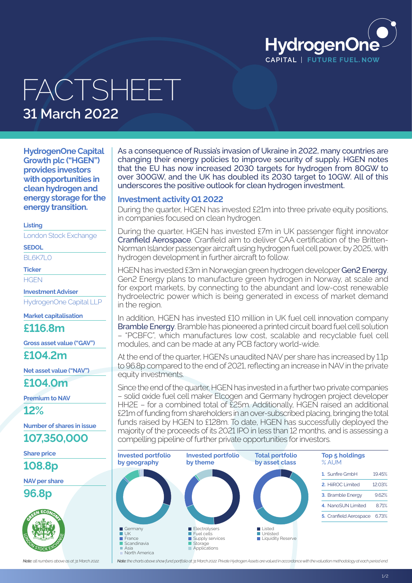

# FACTSHEET **31 March 2022**

**HydrogenOne Capital Growth plc ("HGEN") provides investors with opportunities in clean hydrogen and energy storage for the energy transition.**

#### **Listing**

London Stock Exchange

**SEDOL**

BL6K7LO

**Ticker**

**HGEN** 

**Investment Adviser** HydrogenOne Capital LLP

**Market capitalisation**

**£116.8m**

**Gross asset value ("GAV")**

**£104.2m**

**Net asset value ("NAV")**

**£104.0m**

**Premium to NAV**

**12%**

**Number of shares in issue**

```
107,350,000
```
**Share price**

**108.8p**

**NAV per share**

**96.8p**



As a consequence of Russia's invasion of Ukraine in 2022, many countries are changing their energy policies to improve security of supply. HGEN notes that the EU has now increased 2030 targets for hydrogen from 80GW to over 300GW, and the UK has doubled its 2030 target to 10GW. All of this underscores the positive outlook for clean hydrogen investment.

## **Investment activity Q1 2022**

During the quarter, HGEN has invested £21m into three private equity positions, in companies focused on clean hydrogen.

During the quarter, HGEN has invested £7m in UK passenger flight innovator Cranfield Aerospace. Cranfield aim to deliver CAA certification of the Britten-Norman Islander passenger aircraft using hydrogen fuel cell power, by 2025, with hydrogen development in further aircraft to follow.

HGEN has invested £3m in Norwegian green hydrogen developer Gen2 Energy. Gen2 Energy plans to manufacture green hydrogen in Norway, at scale and for export markets, by connecting to the abundant and low-cost renewable hydroelectric power which is being generated in excess of market demand in the region.

In addition, HGEN has invested £10 million in UK fuel cell innovation company Bramble Energy. Bramble has pioneered a printed circuit board fuel cell solution – "PCBFC", which manufactures low cost, scalable and recyclable fuel cell modules, and can be made at any PCB factory world-wide.

At the end of the quarter, HGEN's unaudited NAV per share has increased by 1.1p to 96.8p compared to the end of 2021, reflecting an increase in NAV in the private equity investments.

Since the end of the quarter, HGEN has invested in a further two private companies – solid oxide fuel cell maker Elcogen and Germany hydrogen project developer HH2E - for a combined total of £25m. Additionally, HGEN raised an additional £21m of funding from shareholders in an over-subscribed placing, bringing the total funds raised by HGEN to £128m. To date, HGEN has successfully deployed the majority of the proceeds of its 2021 IPO in less than 12 months, and is assessing a compelling pipeline of further private opportunities for investors.



Note: till numbers above as at 31 March 2022. Note: the charts above show fund portfolio at 31 March 2022. Private Hydrogen Assets are valued in accordance with the valuation methodology at each period end.